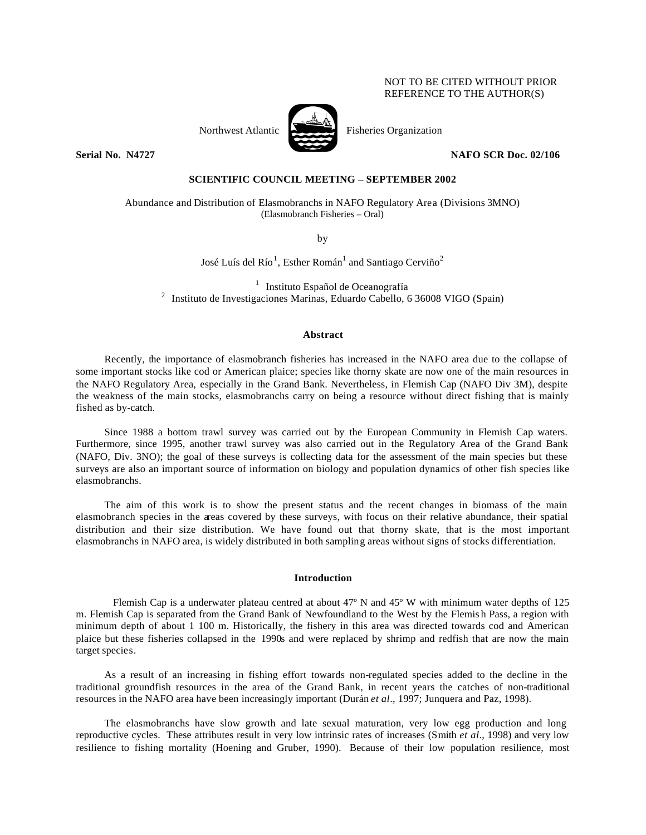# NOT TO BE CITED WITHOUT PRIOR REFERENCE TO THE AUTHOR(S)



Northwest Atlantic Fisheries Organization

**Serial No. N4727 NAFO SCR Doc. 02/106** 

# **SCIENTIFIC COUNCIL MEETING – SEPTEMBER 2002**

Abundance and Distribution of Elasmobranchs in NAFO Regulatory Area (Divisions 3MNO) (Elasmobranch Fisheries – Oral)

by

José Luís del Río<sup>1</sup>, Esther Román<sup>1</sup> and Santiago Cerviño<sup>2</sup>

 $<sup>1</sup>$  Instituto Español de Oceanografía</sup> <sup>2</sup> Instituto de Investigaciones Marinas, Eduardo Cabello, 6 36008 VIGO (Spain)

#### **Abstract**

Recently, the importance of elasmobranch fisheries has increased in the NAFO area due to the collapse of some important stocks like cod or American plaice; species like thorny skate are now one of the main resources in the NAFO Regulatory Area, especially in the Grand Bank. Nevertheless, in Flemish Cap (NAFO Div 3M), despite the weakness of the main stocks, elasmobranchs carry on being a resource without direct fishing that is mainly fished as by-catch.

Since 1988 a bottom trawl survey was carried out by the European Community in Flemish Cap waters. Furthermore, since 1995, another trawl survey was also carried out in the Regulatory Area of the Grand Bank (NAFO, Div. 3NO); the goal of these surveys is collecting data for the assessment of the main species but these surveys are also an important source of information on biology and population dynamics of other fish species like elasmobranchs.

The aim of this work is to show the present status and the recent changes in biomass of the main elasmobranch species in the areas covered by these surveys, with focus on their relative abundance, their spatial distribution and their size distribution. We have found out that thorny skate, that is the most important elasmobranchs in NAFO area, is widely distributed in both sampling areas without signs of stocks differentiation.

#### **Introduction**

Flemish Cap is a underwater plateau centred at about 47º N and 45º W with minimum water depths of 125 m. Flemish Cap is separated from the Grand Bank of Newfoundland to the West by the Flemis h Pass, a region with minimum depth of about 1 100 m. Historically, the fishery in this area was directed towards cod and American plaice but these fisheries collapsed in the 1990s and were replaced by shrimp and redfish that are now the main target species.

As a result of an increasing in fishing effort towards non-regulated species added to the decline in the traditional groundfish resources in the area of the Grand Bank, in recent years the catches of non-traditional resources in the NAFO area have been increasingly important (Durán *et al*., 1997; Junquera and Paz, 1998).

The elasmobranchs have slow growth and late sexual maturation, very low egg production and long reproductive cycles. These attributes result in very low intrinsic rates of increases (Smith *et al*., 1998) and very low resilience to fishing mortality (Hoening and Gruber, 1990). Because of their low population resilience, most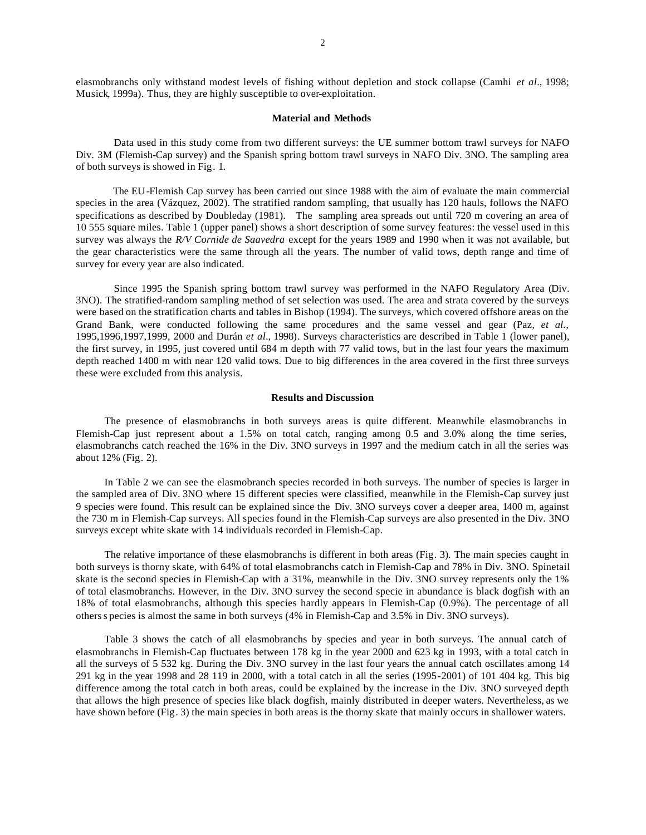elasmobranchs only withstand modest levels of fishing without depletion and stock collapse (Camhi *et al*., 1998; Musick, 1999a). Thus, they are highly susceptible to over-exploitation.

#### **Material and Methods**

Data used in this study come from two different surveys: the UE summer bottom trawl surveys for NAFO Div. 3M (Flemish-Cap survey) and the Spanish spring bottom trawl surveys in NAFO Div. 3NO. The sampling area of both surveys is showed in Fig. 1.

The EU-Flemish Cap survey has been carried out since 1988 with the aim of evaluate the main commercial species in the area (Vázquez, 2002). The stratified random sampling, that usually has 120 hauls, follows the NAFO specifications as described by Doubleday (1981). The sampling area spreads out until 720 m covering an area of 10 555 square miles. Table 1 (upper panel) shows a short description of some survey features: the vessel used in this survey was always the *R/V Cornide de Saavedra* except for the years 1989 and 1990 when it was not available, but the gear characteristics were the same through all the years. The number of valid tows, depth range and time of survey for every year are also indicated.

Since 1995 the Spanish spring bottom trawl survey was performed in the NAFO Regulatory Area (Div. 3NO). The stratified-random sampling method of set selection was used. The area and strata covered by the surveys were based on the stratification charts and tables in Bishop (1994). The surveys, which covered offshore areas on the Grand Bank, were conducted following the same procedures and the same vessel and gear (Paz, *et al.,* 1995,1996,1997,1999, 2000 and Durán *et al.*, 1998). Surveys characteristics are described in Table 1 (lower panel), the first survey, in 1995, just covered until 684 m depth with 77 valid tows, but in the last four years the maximum depth reached 1400 m with near 120 valid tows. Due to big differences in the area covered in the first three surveys these were excluded from this analysis.

#### **Results and Discussion**

The presence of elasmobranchs in both surveys areas is quite different. Meanwhile elasmobranchs in Flemish-Cap just represent about a 1.5% on total catch, ranging among 0.5 and 3.0% along the time series, elasmobranchs catch reached the 16% in the Div. 3NO surveys in 1997 and the medium catch in all the series was about 12% (Fig. 2).

In Table 2 we can see the elasmobranch species recorded in both surveys. The number of species is larger in the sampled area of Div. 3NO where 15 different species were classified, meanwhile in the Flemish-Cap survey just 9 species were found. This result can be explained since the Div. 3NO surveys cover a deeper area, 1400 m, against the 730 m in Flemish-Cap surveys. All species found in the Flemish-Cap surveys are also presented in the Div. 3NO surveys except white skate with 14 individuals recorded in Flemish-Cap.

The relative importance of these elasmobranchs is different in both areas (Fig. 3). The main species caught in both surveys is thorny skate, with 64% of total elasmobranchs catch in Flemish-Cap and 78% in Div. 3NO. Spinetail skate is the second species in Flemish-Cap with a 31%, meanwhile in the Div. 3NO survey represents only the 1% of total elasmobranchs. However, in the Div. 3NO survey the second specie in abundance is black dogfish with an 18% of total elasmobranchs, although this species hardly appears in Flemish-Cap (0.9%). The percentage of all others s pecies is almost the same in both surveys (4% in Flemish-Cap and 3.5% in Div. 3NO surveys).

Table 3 shows the catch of all elasmobranchs by species and year in both surveys. The annual catch of elasmobranchs in Flemish-Cap fluctuates between 178 kg in the year 2000 and 623 kg in 1993, with a total catch in all the surveys of 5 532 kg. During the Div. 3NO survey in the last four years the annual catch oscillates among 14 291 kg in the year 1998 and 28 119 in 2000, with a total catch in all the series (1995-2001) of 101 404 kg. This big difference among the total catch in both areas, could be explained by the increase in the Div. 3NO surveyed depth that allows the high presence of species like black dogfish, mainly distributed in deeper waters. Nevertheless, as we have shown before (Fig. 3) the main species in both areas is the thorny skate that mainly occurs in shallower waters.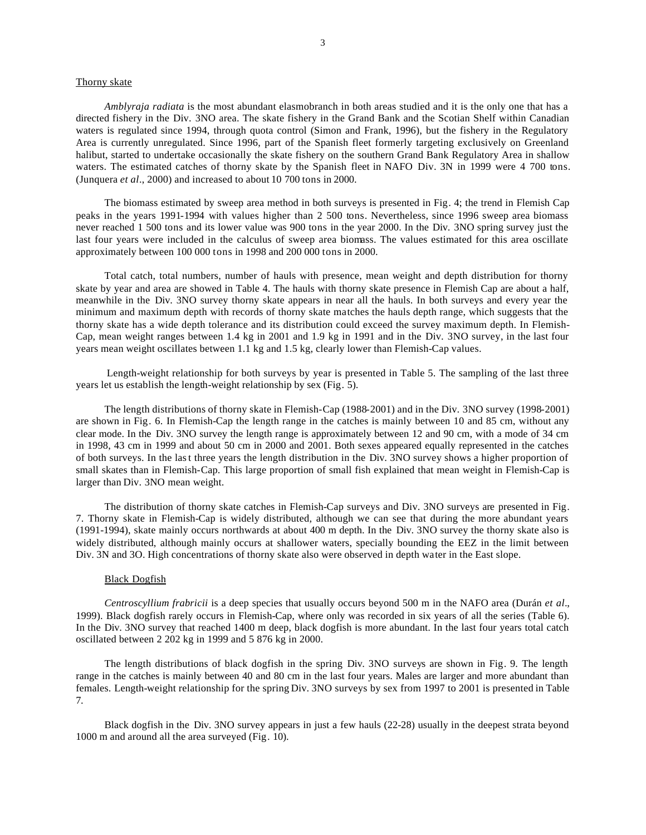### Thorny skate

*Amblyraja radiata* is the most abundant elasmobranch in both areas studied and it is the only one that has a directed fishery in the Div. 3NO area. The skate fishery in the Grand Bank and the Scotian Shelf within Canadian waters is regulated since 1994, through quota control (Simon and Frank, 1996), but the fishery in the Regulatory Area is currently unregulated. Since 1996, part of the Spanish fleet formerly targeting exclusively on Greenland halibut, started to undertake occasionally the skate fishery on the southern Grand Bank Regulatory Area in shallow waters. The estimated catches of thorny skate by the Spanish fleet in NAFO Div. 3N in 1999 were 4 700 tons. (Junquera *et al*., 2000) and increased to about 10 700 tons in 2000.

The biomass estimated by sweep area method in both surveys is presented in Fig. 4; the trend in Flemish Cap peaks in the years 1991-1994 with values higher than 2 500 tons. Nevertheless, since 1996 sweep area biomass never reached 1 500 tons and its lower value was 900 tons in the year 2000. In the Div. 3NO spring survey just the last four years were included in the calculus of sweep area biomass. The values estimated for this area oscillate approximately between 100 000 tons in 1998 and 200 000 tons in 2000.

Total catch, total numbers, number of hauls with presence, mean weight and depth distribution for thorny skate by year and area are showed in Table 4. The hauls with thorny skate presence in Flemish Cap are about a half, meanwhile in the Div. 3NO survey thorny skate appears in near all the hauls. In both surveys and every year the minimum and maximum depth with records of thorny skate matches the hauls depth range, which suggests that the thorny skate has a wide depth tolerance and its distribution could exceed the survey maximum depth. In Flemish-Cap, mean weight ranges between 1.4 kg in 2001 and 1.9 kg in 1991 and in the Div. 3NO survey, in the last four years mean weight oscillates between 1.1 kg and 1.5 kg, clearly lower than Flemish-Cap values.

 Length-weight relationship for both surveys by year is presented in Table 5. The sampling of the last three years let us establish the length-weight relationship by sex (Fig. 5).

The length distributions of thorny skate in Flemish-Cap (1988-2001) and in the Div. 3NO survey (1998-2001) are shown in Fig. 6. In Flemish-Cap the length range in the catches is mainly between 10 and 85 cm, without any clear mode. In the Div. 3NO survey the length range is approximately between 12 and 90 cm, with a mode of 34 cm in 1998, 43 cm in 1999 and about 50 cm in 2000 and 2001. Both sexes appeared equally represented in the catches of both surveys. In the last three years the length distribution in the Div. 3NO survey shows a higher proportion of small skates than in Flemish-Cap. This large proportion of small fish explained that mean weight in Flemish-Cap is larger than Div. 3NO mean weight.

The distribution of thorny skate catches in Flemish-Cap surveys and Div. 3NO surveys are presented in Fig. 7. Thorny skate in Flemish-Cap is widely distributed, although we can see that during the more abundant years (1991-1994), skate mainly occurs northwards at about 400 m depth. In the Div. 3NO survey the thorny skate also is widely distributed, although mainly occurs at shallower waters, specially bounding the EEZ in the limit between Div. 3N and 3O. High concentrations of thorny skate also were observed in depth water in the East slope.

# Black Dogfish

*Centroscyllium frabricii* is a deep species that usually occurs beyond 500 m in the NAFO area (Durán *et al*., 1999). Black dogfish rarely occurs in Flemish-Cap, where only was recorded in six years of all the series (Table 6). In the Div. 3NO survey that reached 1400 m deep, black dogfish is more abundant. In the last four years total catch oscillated between 2 202 kg in 1999 and 5 876 kg in 2000.

The length distributions of black dogfish in the spring Div. 3NO surveys are shown in Fig. 9. The length range in the catches is mainly between 40 and 80 cm in the last four years. Males are larger and more abundant than females. Length-weight relationship for the spring Div. 3NO surveys by sex from 1997 to 2001 is presented in Table 7.

Black dogfish in the Div. 3NO survey appears in just a few hauls (22-28) usually in the deepest strata beyond 1000 m and around all the area surveyed (Fig. 10).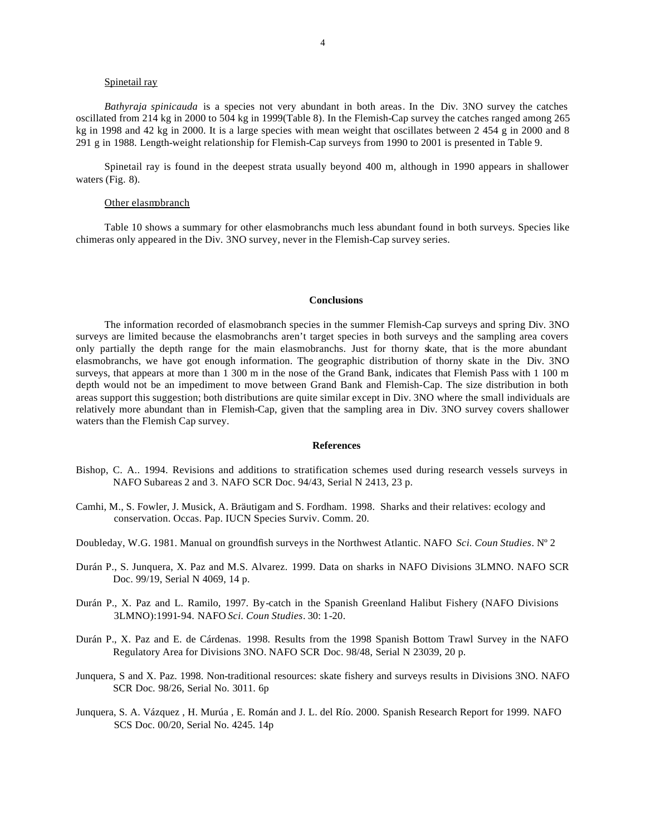# Spinetail ray

*Bathyraja spinicauda* is a species not very abundant in both areas. In the Div. 3NO survey the catches oscillated from 214 kg in 2000 to 504 kg in 1999(Table 8). In the Flemish-Cap survey the catches ranged among 265 kg in 1998 and 42 kg in 2000. It is a large species with mean weight that oscillates between 2 454 g in 2000 and 8 291 g in 1988. Length-weight relationship for Flemish-Cap surveys from 1990 to 2001 is presented in Table 9.

Spinetail ray is found in the deepest strata usually beyond 400 m, although in 1990 appears in shallower waters (Fig. 8).

#### Other elasmobranch

Table 10 shows a summary for other elasmobranchs much less abundant found in both surveys. Species like chimeras only appeared in the Div. 3NO survey, never in the Flemish-Cap survey series.

#### **Conclusions**

The information recorded of elasmobranch species in the summer Flemish-Cap surveys and spring Div. 3NO surveys are limited because the elasmobranchs aren't target species in both surveys and the sampling area covers only partially the depth range for the main elasmobranchs. Just for thorny skate, that is the more abundant elasmobranchs, we have got enough information. The geographic distribution of thorny skate in the Div. 3NO surveys, that appears at more than 1 300 m in the nose of the Grand Bank, indicates that Flemish Pass with 1 100 m depth would not be an impediment to move between Grand Bank and Flemish-Cap. The size distribution in both areas support this suggestion; both distributions are quite similar except in Div. 3NO where the small individuals are relatively more abundant than in Flemish-Cap, given that the sampling area in Div. 3NO survey covers shallower waters than the Flemish Cap survey.

#### **References**

- Bishop, C. A.. 1994. Revisions and additions to stratification schemes used during research vessels surveys in NAFO Subareas 2 and 3. NAFO SCR Doc. 94/43, Serial N 2413, 23 p.
- Camhi, M., S. Fowler, J. Musick, A. Bräutigam and S. Fordham. 1998. Sharks and their relatives: ecology and conservation. Occas. Pap. IUCN Species Surviv. Comm. 20.
- Doubleday, W.G. 1981. Manual on groundfish surveys in the Northwest Atlantic. NAFO *Sci. Coun Studies*. Nº 2
- Durán P., S. Junquera, X. Paz and M.S. Alvarez. 1999. Data on sharks in NAFO Divisions 3LMNO. NAFO SCR Doc. 99/19, Serial N 4069, 14 p.
- Durán P., X. Paz and L. Ramilo, 1997. By-catch in the Spanish Greenland Halibut Fishery (NAFO Divisions 3LMNO):1991-94. NAFO *Sci. Coun Studies*. 30: 1-20.
- Durán P., X. Paz and E. de Cárdenas. 1998. Results from the 1998 Spanish Bottom Trawl Survey in the NAFO Regulatory Area for Divisions 3NO. NAFO SCR Doc. 98/48, Serial N 23039, 20 p.
- Junquera, S and X. Paz. 1998. Non-traditional resources: skate fishery and surveys results in Divisions 3NO. NAFO SCR Doc. 98/26, Serial No. 3011. 6p
- Junquera, S. A. Vázquez , H. Murúa , E. Román and J. L. del Río. 2000. Spanish Research Report for 1999. NAFO SCS Doc. 00/20, Serial No. 4245. 14p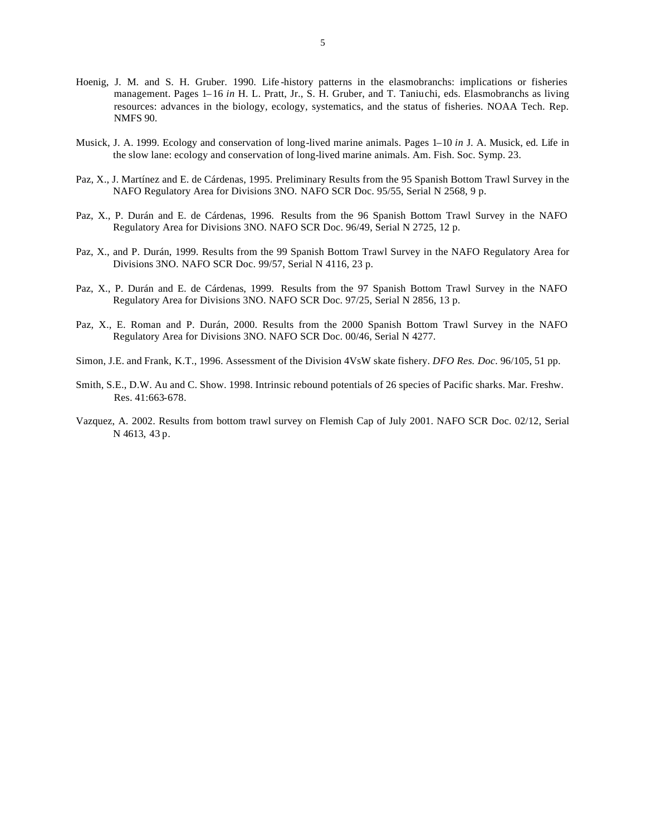- Hoenig, J. M. and S. H. Gruber. 1990. Life -history patterns in the elasmobranchs: implications or fisheries management. Pages 1–16 *in* H. L. Pratt, Jr., S. H. Gruber, and T. Taniuchi, eds. Elasmobranchs as living resources: advances in the biology, ecology, systematics, and the status of fisheries. NOAA Tech. Rep. NMFS 90.
- Musick, J. A. 1999. Ecology and conservation of long-lived marine animals. Pages 1–10 *in* J. A. Musick, ed. Life in the slow lane: ecology and conservation of long-lived marine animals. Am. Fish. Soc. Symp. 23.
- Paz, X., J. Martínez and E. de Cárdenas, 1995. Preliminary Results from the 95 Spanish Bottom Trawl Survey in the NAFO Regulatory Area for Divisions 3NO. NAFO SCR Doc. 95/55, Serial N 2568, 9 p.
- Paz, X., P. Durán and E. de Cárdenas, 1996. Results from the 96 Spanish Bottom Trawl Survey in the NAFO Regulatory Area for Divisions 3NO. NAFO SCR Doc. 96/49, Serial N 2725, 12 p.
- Paz, X., and P. Durán, 1999. Results from the 99 Spanish Bottom Trawl Survey in the NAFO Regulatory Area for Divisions 3NO. NAFO SCR Doc. 99/57, Serial N 4116, 23 p.
- Paz, X., P. Durán and E. de Cárdenas, 1999. Results from the 97 Spanish Bottom Trawl Survey in the NAFO Regulatory Area for Divisions 3NO. NAFO SCR Doc. 97/25, Serial N 2856, 13 p.
- Paz, X., E. Roman and P. Durán, 2000. Results from the 2000 Spanish Bottom Trawl Survey in the NAFO Regulatory Area for Divisions 3NO. NAFO SCR Doc. 00/46, Serial N 4277.
- Simon, J.E. and Frank, K.T., 1996. Assessment of the Division 4VsW skate fishery. *DFO Res. Doc*. 96/105, 51 pp.
- Smith, S.E., D.W. Au and C. Show. 1998. Intrinsic rebound potentials of 26 species of Pacific sharks. Mar. Freshw. Res. 41:663-678.
- Vazquez, A. 2002. Results from bottom trawl survey on Flemish Cap of July 2001. NAFO SCR Doc. 02/12, Serial N 4613, 43 p.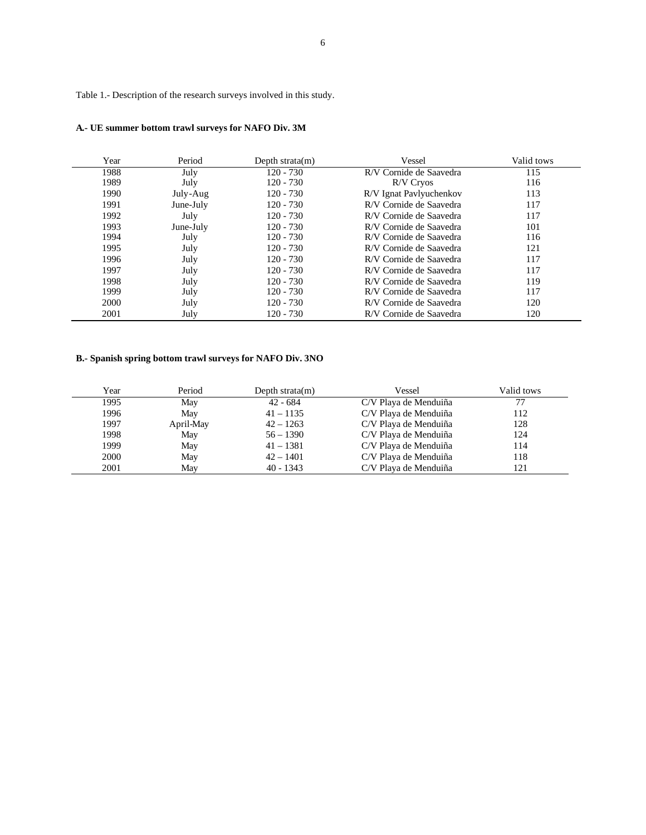Table 1.- Description of the research surveys involved in this study.

| Year | Period    | Depth strata $(m)$ | Vessel                  | Valid tows |
|------|-----------|--------------------|-------------------------|------------|
| 1988 | July      | $120 - 730$        | R/V Cornide de Saavedra | 115        |
| 1989 | July      | $120 - 730$        | R/V Cryos               | 116        |
| 1990 | July-Aug  | $120 - 730$        | R/V Ignat Pavlyuchenkov | 113        |
| 1991 | June-July | 120 - 730          | R/V Cornide de Saavedra | 117        |
| 1992 | July      | $120 - 730$        | R/V Cornide de Saavedra | 117        |
| 1993 | June-July | $120 - 730$        | R/V Cornide de Saavedra | 101        |
| 1994 | July      | $120 - 730$        | R/V Cornide de Saavedra | 116        |
| 1995 | July      | $120 - 730$        | R/V Cornide de Saavedra | 121        |
| 1996 | July      | $120 - 730$        | R/V Cornide de Saavedra | 117        |
| 1997 | July      | $120 - 730$        | R/V Cornide de Saavedra | 117        |
| 1998 | July      | $120 - 730$        | R/V Cornide de Saavedra | 119        |
| 1999 | July      | $120 - 730$        | R/V Cornide de Saavedra | 117        |
| 2000 | July      | $120 - 730$        | R/V Cornide de Saavedra | 120        |
| 2001 | July      | $120 - 730$        | R/V Cornide de Saavedra | 120        |

# **B.- Spanish spring bottom trawl surveys for NAFO Div. 3NO**

| Year | Period    | Depth strata $(m)$ | Vessel                | Valid tows |
|------|-----------|--------------------|-----------------------|------------|
| 1995 | May       | 42 - 684           | C/V Playa de Menduiña |            |
| 1996 | May       | $41 - 1135$        | C/V Playa de Menduiña | 112        |
| 1997 | April-May | $42 - 1263$        | C/V Playa de Menduiña | 128        |
| 1998 | May       | $56 - 1390$        | C/V Playa de Menduiña | 124        |
| 1999 | May       | $41 - 1381$        | C/V Playa de Menduiña | 114        |
| 2000 | May       | $42 - 1401$        | C/V Playa de Menduiña | 118        |
| 2001 | May       | $40 - 1343$        | C/V Playa de Menduiña | 121        |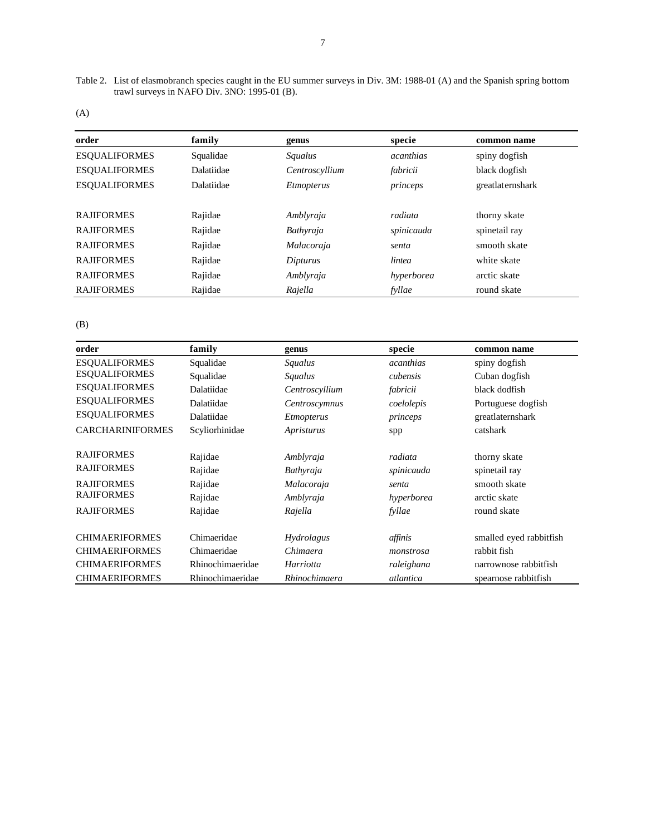Table 2. List of elasmobranch species caught in the EU summer surveys in Div. 3M: 1988-01 (A) and the Spanish spring bottom trawl surveys in NAFO Div. 3NO: 1995-01 (B).

| order                | family     | genus             | specie           | common name      |
|----------------------|------------|-------------------|------------------|------------------|
| <b>ESOUALIFORMES</b> | Squalidae  | <b>Squalus</b>    | <i>acanthias</i> | spiny dogfish    |
| <b>ESOUALIFORMES</b> | Dalatiidae | Centroscyllium    | fabricii         | black dogfish    |
| <b>ESOUALIFORMES</b> | Dalatiidae | <i>Etmopterus</i> | princeps         | greatlaternshark |
|                      |            |                   |                  |                  |
| <b>RAJIFORMES</b>    | Rajidae    | Amblyraja         | radiata          | thorny skate     |
| <b>RAJIFORMES</b>    | Rajidae    | Bathyraja         | spinicauda       | spinetail ray    |
| <b>RAJIFORMES</b>    | Rajidae    | Malacoraja        | senta            | smooth skate     |
| <b>RAJIFORMES</b>    | Rajidae    | Dipturus          | lintea           | white skate      |
| <b>RAJIFORMES</b>    | Rajidae    | Amblyraja         | hyperborea       | arctic skate     |
| <b>RAJIFORMES</b>    | Rajidae    | Rajella           | fyllae           | round skate      |
|                      |            |                   |                  |                  |

| order                   | family           | genus             | specie           | common name             |
|-------------------------|------------------|-------------------|------------------|-------------------------|
| <b>ESOUALIFORMES</b>    | Squalidae        | Squalus           | <i>acanthias</i> | spiny dogfish           |
| <b>ESQUALIFORMES</b>    | Squalidae        | Squalus           | cubensis         | Cuban dogfish           |
| <b>ESOUALIFORMES</b>    | Dalatiidae       | Centroscyllium    | fabricii         | black dodfish           |
| <b>ESQUALIFORMES</b>    | Dalatiidae       | Centroscymnus     | coelolepis       | Portuguese dogfish      |
| <b>ESQUALIFORMES</b>    | Dalatiidae       | <i>Etmopterus</i> | princeps         | greatlaternshark        |
| <b>CARCHARINIFORMES</b> | Scyliorhinidae   | Apristurus        | spp              | catshark                |
| <b>RAJIFORMES</b>       | Rajidae          | Amblyraja         | radiata          | thorny skate            |
| <b>RAJIFORMES</b>       | Rajidae          | Bathyraja         | spinicauda       | spinetail ray           |
| <b>RAJIFORMES</b>       | Rajidae          | Malacoraja        | senta            | smooth skate            |
| <b>RAJIFORMES</b>       | Rajidae          | Amblyraja         | hyperborea       | arctic skate            |
| <b>RAJIFORMES</b>       | Rajidae          | Rajella           | fyllae           | round skate             |
| <b>CHIMAERIFORMES</b>   | Chimaeridae      | <i>Hydrolagus</i> | affinis          | smalled eyed rabbitfish |
| <b>CHIMAERIFORMES</b>   | Chimaeridae      | Chimaera          | monstrosa        | rabbit fish             |
| <b>CHIMAERIFORMES</b>   | Rhinochimaeridae | Harriotta         | raleighana       | narrownose rabbitfish   |
| <b>CHIMAERIFORMES</b>   | Rhinochimaeridae | Rhinochimaera     | atlantica        | spearnose rabbitfish    |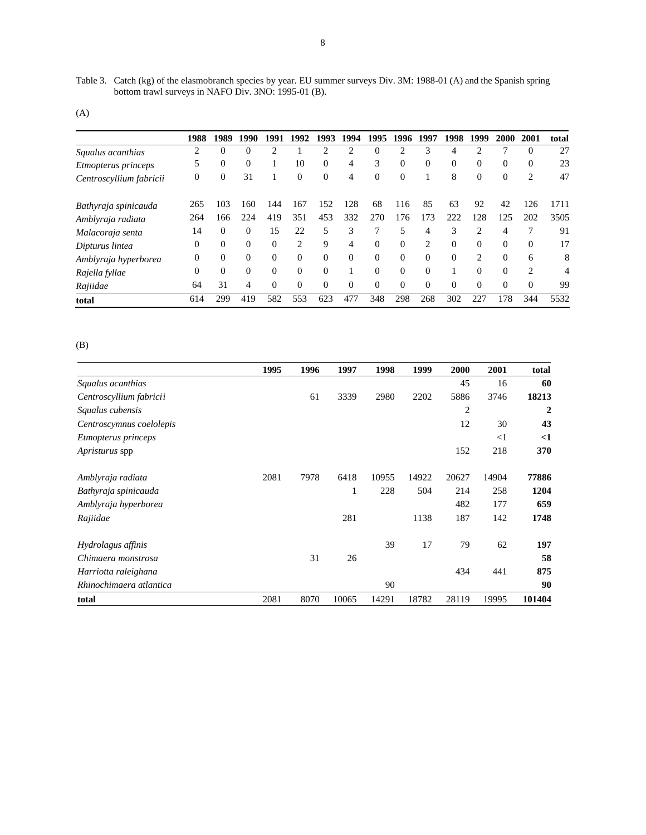Table 3. Catch (kg) of the elasmobranch species by year. EU summer surveys Div. 3M: 1988-01 (A) and the Spanish spring bottom trawl surveys in NAFO Div. 3NO: 1995-01 (B).

|                            | 1988           | 1989           | 1990     | 1991     | 1992           | 1993           | 1994     | 1995     | 1996     | 1997           | 1998     | 1999           | 2000     | 2001                        | total |
|----------------------------|----------------|----------------|----------|----------|----------------|----------------|----------|----------|----------|----------------|----------|----------------|----------|-----------------------------|-------|
| Squalus acanthias          | 2              | $\overline{0}$ | $\theta$ | C        |                | $\overline{c}$ | っ        | $\theta$ | っ        | 3              |          | ↑              | ┑        | 0                           | 27    |
| <i>Etmopterus princeps</i> | 5              | $\overline{0}$ | $\theta$ |          | 10             | $\mathbf{0}$   | 4        | 3        | $\Omega$ | $\Omega$       | $\Omega$ | $\Omega$       | $\Omega$ | $\Omega$                    | 23    |
| Centroscyllium fabricii    | $\overline{0}$ | $\mathbf{0}$   | 31       |          | $\Omega$       | $\theta$       | 4        | $\Omega$ | $\Omega$ |                | 8        | $\Omega$       | $\Omega$ | 2                           | 47    |
| Bathyraja spinicauda       | 265            | 103            | 160      | 144      | 167            | 152            | 128      | 68       | 116      | 85             | 63       | 92             | 42       | 126                         | 1711  |
| Amblyraja radiata          | 264            | 166            | 224      | 419      | 351            | 453            | 332      | 270      | 176      | 173            | 222      | 128            | 125      | 202                         | 3505  |
| Malacoraja senta           | 14             | $\overline{0}$ | $\Omega$ | 15       | 22             | 5              | 3        | 7        | 5        | 4              | 3        | $\overline{c}$ | 4        | 7                           | 91    |
| Dipturus lintea            | $\theta$       | $\theta$       | $\Omega$ | $\Omega$ | $\overline{c}$ | 9              | 4        | $\Omega$ | $\Omega$ | $\overline{c}$ | $\Omega$ | $\Omega$       | $\Omega$ | $\Omega$                    | 17    |
| Amblyraja hyperborea       | $\theta$       | $\Omega$       | $\Omega$ | $\Omega$ | $\Omega$       | $\Omega$       | $\Omega$ | $\Omega$ | $\Omega$ | $\Omega$       | $\Omega$ | $\mathcal{D}$  | $\Omega$ | 6                           | 8     |
| Rajella fyllae             | $\Omega$       | $\Omega$       | $\Omega$ | $\Omega$ | $\Omega$       | $\Omega$       |          | $\Omega$ | $\Omega$ | $\Omega$       |          | $\Omega$       | $\Omega$ | $\mathcal{D}_{\mathcal{L}}$ | 4     |
| Rajiidae                   | 64             | 31             | 4        | $\Omega$ | $\Omega$       | $\Omega$       | $\Omega$ | $\Omega$ | $\Omega$ | $\Omega$       | $\Omega$ | $\Omega$       | $\Omega$ | $\Omega$                    | 99    |
| total                      | 614            | 299            | 419      | 582      | 553            | 623            | 477      | 348      | 298      | 268            | 302      | 227            | 178      | 344                         | 5532  |

|                          | 1995 | 1996 | 1997  | 1998  | 1999  | 2000  | 2001  | total            |
|--------------------------|------|------|-------|-------|-------|-------|-------|------------------|
| Squalus acanthias        |      |      |       |       |       | 45    | 16    | 60               |
| Centroscyllium fabricii  |      | 61   | 3339  | 2980  | 2202  | 5886  | 3746  | 18213            |
| Squalus cubensis         |      |      |       |       |       | 2     |       | $\boldsymbol{2}$ |
| Centroscymnus coelolepis |      |      |       |       |       | 12    | 30    | 43               |
| Etmopterus princeps      |      |      |       |       |       |       | $<$ 1 | $\leq$ 1         |
| <i>Apristurus</i> spp    |      |      |       |       |       | 152   | 218   | 370              |
| Amblyraja radiata        | 2081 | 7978 | 6418  | 10955 | 14922 | 20627 | 14904 | 77886            |
| Bathyraja spinicauda     |      |      | 1     | 228   | 504   | 214   | 258   | 1204             |
| Amblyraja hyperborea     |      |      |       |       |       | 482   | 177   | 659              |
| Rajiidae                 |      |      | 281   |       | 1138  | 187   | 142   | 1748             |
| Hydrolagus affinis       |      |      |       | 39    | 17    | 79    | 62    | 197              |
| Chimaera monstrosa       |      | 31   | 26    |       |       |       |       | 58               |
| Harriotta raleighana     |      |      |       |       |       | 434   | 441   | 875              |
| Rhinochimaera atlantica  |      |      |       | 90    |       |       |       | 90               |
| total                    | 2081 | 8070 | 10065 | 14291 | 18782 | 28119 | 19995 | 101404           |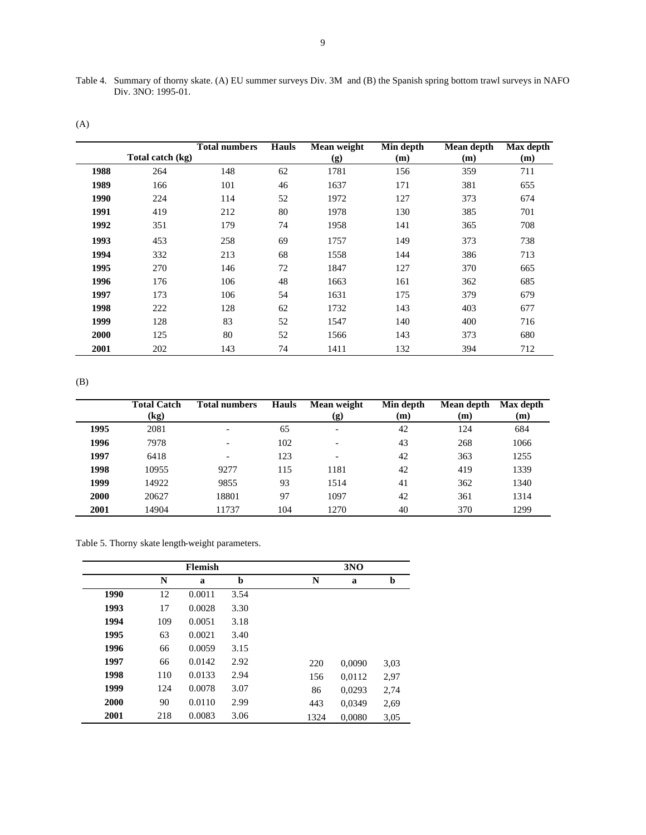(A)

|             |                  | <b>Total numbers</b> | Hauls | Mean weight | Min depth | Mean depth | Max depth |
|-------------|------------------|----------------------|-------|-------------|-----------|------------|-----------|
|             | Total catch (kg) |                      |       | (g)         | (m)       | (m)        | (m)       |
| 1988        | 264              | 148                  | 62    | 1781        | 156       | 359        | 711       |
| 1989        | 166              | 101                  | 46    | 1637        | 171       | 381        | 655       |
| 1990        | 224              | 114                  | 52    | 1972        | 127       | 373        | 674       |
| 1991        | 419              | 212                  | 80    | 1978        | 130       | 385        | 701       |
| 1992        | 351              | 179                  | 74    | 1958        | 141       | 365        | 708       |
| 1993        | 453              | 258                  | 69    | 1757        | 149       | 373        | 738       |
| 1994        | 332              | 213                  | 68    | 1558        | 144       | 386        | 713       |
| 1995        | 270              | 146                  | 72    | 1847        | 127       | 370        | 665       |
| 1996        | 176              | 106                  | 48    | 1663        | 161       | 362        | 685       |
| 1997        | 173              | 106                  | 54    | 1631        | 175       | 379        | 679       |
| 1998        | 222              | 128                  | 62    | 1732        | 143       | 403        | 677       |
| 1999        | 128              | 83                   | 52    | 1547        | 140       | 400        | 716       |
| <b>2000</b> | 125              | 80                   | 52    | 1566        | 143       | 373        | 680       |
| 2001        | 202              | 143                  | 74    | 1411        | 132       | 394        | 712       |

(B)

|      | <b>Total Catch</b><br>(kg) | <b>Total numbers</b> | <b>Hauls</b> | Mean weight<br>(g)       | Min depth<br>(m) | Mean depth<br>(m) | Max depth<br>(m) |
|------|----------------------------|----------------------|--------------|--------------------------|------------------|-------------------|------------------|
| 1995 | 2081                       |                      | 65           | $\overline{\phantom{0}}$ | 42               | 124               | 684              |
| 1996 | 7978                       |                      | 102          | $\overline{\phantom{0}}$ | 43               | 268               | 1066             |
| 1997 | 6418                       |                      | 123          | $\overline{\phantom{0}}$ | 42               | 363               | 1255             |
| 1998 | 10955                      | 9277                 | 115          | 1181                     | 42               | 419               | 1339             |
| 1999 | 14922                      | 9855                 | 93           | 1514                     | 41               | 362               | 1340             |
| 2000 | 20627                      | 18801                | 97           | 1097                     | 42               | 361               | 1314             |
| 2001 | 14904                      | 11737                | 104          | 1270                     | 40               | 370               | 1299             |

Table 5. Thorny skate length-weight parameters.

|      |     | <b>Flemish</b> |      |      | 3NO    |             |
|------|-----|----------------|------|------|--------|-------------|
|      | N   | a              | b    | N    | a      | $\mathbf b$ |
| 1990 | 12  | 0.0011         | 3.54 |      |        |             |
| 1993 | 17  | 0.0028         | 3.30 |      |        |             |
| 1994 | 109 | 0.0051         | 3.18 |      |        |             |
| 1995 | 63  | 0.0021         | 3.40 |      |        |             |
| 1996 | 66  | 0.0059         | 3.15 |      |        |             |
| 1997 | 66  | 0.0142         | 2.92 | 220  | 0,0090 | 3,03        |
| 1998 | 110 | 0.0133         | 2.94 | 156  | 0,0112 | 2,97        |
| 1999 | 124 | 0.0078         | 3.07 | 86   | 0,0293 | 2,74        |
| 2000 | 90  | 0.0110         | 2.99 | 443  | 0.0349 | 2,69        |
| 2001 | 218 | 0.0083         | 3.06 | 1324 | 0.0080 | 3,05        |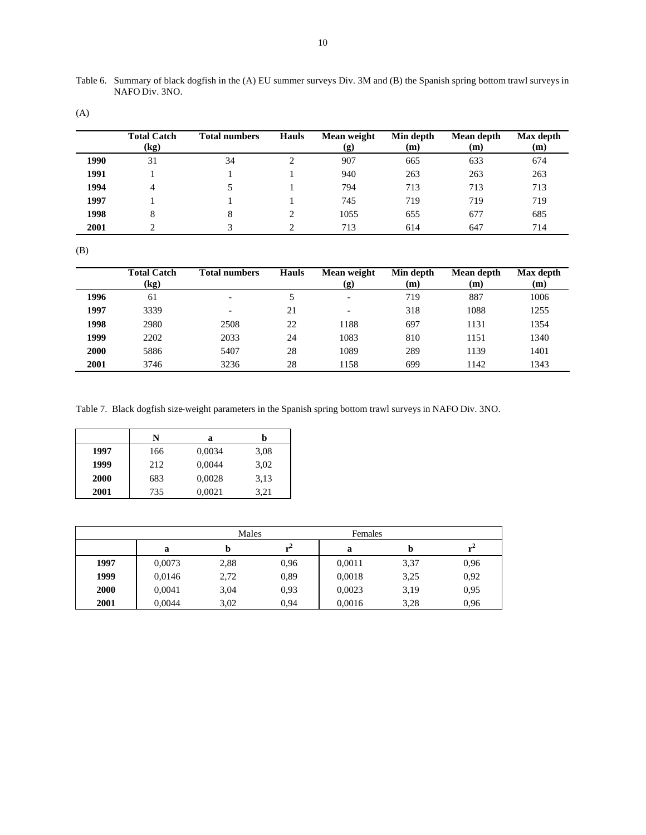(A)

|      | <b>Total Catch</b><br>(kg) | <b>Total numbers</b> | <b>Hauls</b> | Mean weight<br>$\left( \mathbf{g}\right)$ | Min depth<br>(m) | Mean depth<br>(m) | Max depth<br>(m) |
|------|----------------------------|----------------------|--------------|-------------------------------------------|------------------|-------------------|------------------|
| 1990 | 31                         | 34                   |              | 907                                       | 665              | 633               | 674              |
| 1991 |                            |                      |              | 940                                       | 263              | 263               | 263              |
| 1994 |                            |                      |              | 794                                       | 713              | 713               | 713              |
| 1997 |                            |                      |              | 745                                       | 719              | 719               | 719              |
| 1998 |                            |                      |              | 1055                                      | 655              | 677               | 685              |
| 2001 |                            |                      |              | 713                                       | 614              | 647               | 714              |

|      | <b>Total Catch</b><br>$\left(\text{kg}\right)$ | <b>Total numbers</b>     | <b>Hauls</b> | Mean weight<br>(g)       | Min depth<br>(m) | Mean depth<br>(m) | Max depth<br>(m) |
|------|------------------------------------------------|--------------------------|--------------|--------------------------|------------------|-------------------|------------------|
| 1996 | 61                                             | $\overline{\phantom{0}}$ |              | $\overline{\phantom{0}}$ | 719              | 887               | 1006             |
| 1997 | 3339                                           | ۰                        | 21           | $\overline{\phantom{0}}$ | 318              | 1088              | 1255             |
| 1998 | 2980                                           | 2508                     | 22           | 1188                     | 697              | 1131              | 1354             |
| 1999 | 2202                                           | 2033                     | 24           | 1083                     | 810              | 1151              | 1340             |
| 2000 | 5886                                           | 5407                     | 28           | 1089                     | 289              | 1139              | 1401             |
| 2001 | 3746                                           | 3236                     | 28           | 1158                     | 699              | 1142              | 1343             |

Table 7. Black dogfish size-weight parameters in the Spanish spring bottom trawl surveys in NAFO Div. 3NO.

|      | N   | a      | h    |
|------|-----|--------|------|
| 1997 | 166 | 0,0034 | 3,08 |
| 1999 | 212 | 0,0044 | 3,02 |
| 2000 | 683 | 0,0028 | 3,13 |
| 2001 | 735 | 0,0021 | 3,21 |

|             |        | Males |      | Females |      |      |
|-------------|--------|-------|------|---------|------|------|
|             | a      | Đ     |      | a       |      |      |
| 1997        | 0,0073 | 2,88  | 0.96 | 0,0011  | 3,37 | 0.96 |
| 1999        | 0,0146 | 2,72  | 0.89 | 0,0018  | 3,25 | 0.92 |
| <b>2000</b> | 0,0041 | 3,04  | 0.93 | 0,0023  | 3,19 | 0.95 |
| 2001        | 0.0044 | 3.02  | 0.94 | 0,0016  | 3,28 | 0.96 |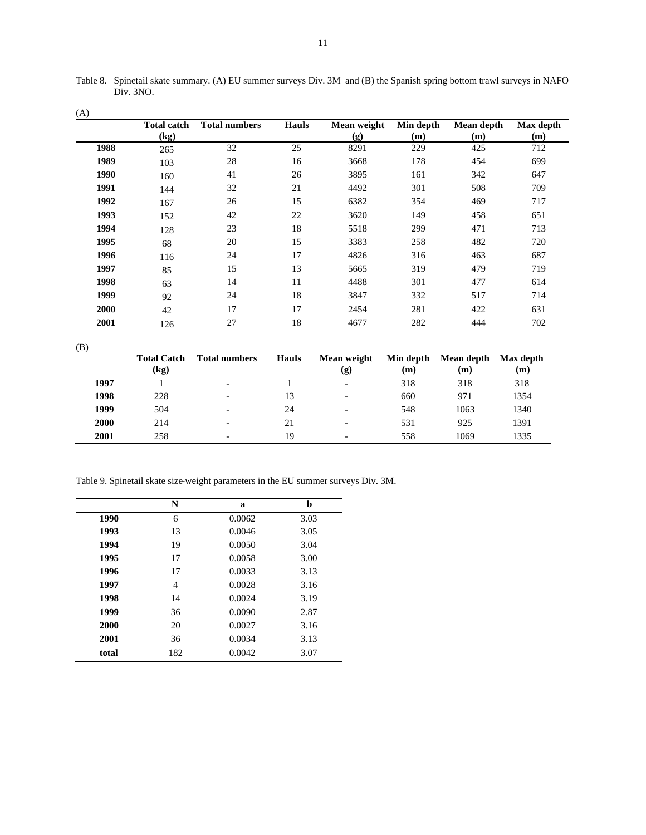| (A)  |                    |                      |              |             |           |            |           |
|------|--------------------|----------------------|--------------|-------------|-----------|------------|-----------|
|      | <b>Total catch</b> | <b>Total numbers</b> | <b>Hauls</b> | Mean weight | Min depth | Mean depth | Max depth |
|      | (kg)               |                      |              | (g)         | (m)       | (m)        | (m)       |
| 1988 | 265                | 32                   | 25           | 8291        | 229       | 425        | 712       |
| 1989 | 103                | 28                   | 16           | 3668        | 178       | 454        | 699       |
| 1990 | 160                | 41                   | 26           | 3895        | 161       | 342        | 647       |
| 1991 | 144                | 32                   | 21           | 4492        | 301       | 508        | 709       |
| 1992 | 167                | 26                   | 15           | 6382        | 354       | 469        | 717       |
| 1993 | 152                | 42                   | 22           | 3620        | 149       | 458        | 651       |
| 1994 | 128                | 23                   | 18           | 5518        | 299       | 471        | 713       |
| 1995 | 68                 | 20                   | 15           | 3383        | 258       | 482        | 720       |
| 1996 | 116                | 24                   | 17           | 4826        | 316       | 463        | 687       |
| 1997 | 85                 | 15                   | 13           | 5665        | 319       | 479        | 719       |
| 1998 | 63                 | 14                   | 11           | 4488        | 301       | 477        | 614       |
| 1999 | 92                 | 24                   | 18           | 3847        | 332       | 517        | 714       |
| 2000 | 42                 | 17                   | 17           | 2454        | 281       | 422        | 631       |
| 2001 | 126                | 27                   | 18           | 4677        | 282       | 444        | 702       |

Table 8. Spinetail skate summary. (A) EU summer surveys Div. 3M and (B) the Spanish spring bottom trawl surveys in NAFO Div. 3NO.

| $\sim$ | <b>Total Catch</b><br>(kg) | <b>Total numbers</b>     | <b>Hauls</b> | Mean weight<br>(g)       | Min depth<br>(m) | Mean depth<br>(m) | Max depth<br>(m) |
|--------|----------------------------|--------------------------|--------------|--------------------------|------------------|-------------------|------------------|
| 1997   |                            |                          |              | $\overline{\phantom{a}}$ | 318              | 318               | 318              |
| 1998   | 228                        | $\overline{\phantom{0}}$ | 13           | $\overline{\phantom{a}}$ | 660              | 971               | 1354             |
| 1999   | 504                        |                          | 24           | $\overline{\phantom{0}}$ | 548              | 1063              | 1340             |
| 2000   | 214                        |                          | 21           | $\overline{\phantom{a}}$ | 531              | 925               | 1391             |
| 2001   | 258                        |                          | 19           |                          | 558              | 1069              | 1335             |

Table 9. Spinetail skate size-weight parameters in the EU summer surveys Div. 3M.

|       | N   | a      | b    |
|-------|-----|--------|------|
| 1990  | 6   | 0.0062 | 3.03 |
| 1993  | 13  | 0.0046 | 3.05 |
| 1994  | 19  | 0.0050 | 3.04 |
| 1995  | 17  | 0.0058 | 3.00 |
| 1996  | 17  | 0.0033 | 3.13 |
| 1997  | 4   | 0.0028 | 3.16 |
| 1998  | 14  | 0.0024 | 3.19 |
| 1999  | 36  | 0.0090 | 2.87 |
| 2000  | 20  | 0.0027 | 3.16 |
| 2001  | 36  | 0.0034 | 3.13 |
| total | 182 | 0.0042 | 3.07 |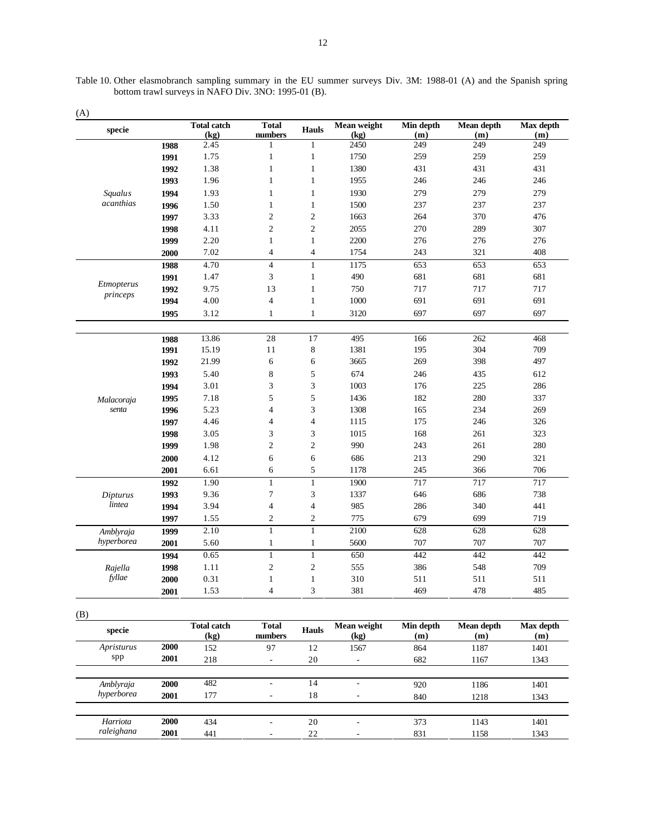Table 10. Other elasmobranch sampling summary in the EU summer surveys Div. 3M: 1988-01 (A) and the Spanish spring bottom trawl surveys in NAFO Div. 3NO: 1995-01 (B).

|                         |      | <b>Total catch</b> | <b>Total</b>                   |                                    | Mean weight | Min depth | Mean depth        | Max depth |
|-------------------------|------|--------------------|--------------------------------|------------------------------------|-------------|-----------|-------------------|-----------|
| specie                  |      | (kg)               | numbers                        | <b>Hauls</b>                       | (kg)        | (m)       | (m)               | (m)       |
|                         | 1988 | 2.45               | $\mathbf{1}$                   | $\mathbf{1}$                       | 2450        | 249       | 249               | 249       |
|                         | 1991 | 1.75               | $\mathbf{1}$                   | $\mathbf{1}$                       | 1750        | 259       | 259               | 259       |
|                         | 1992 | 1.38               | $\mathbf{1}$                   | $\mathbf{1}$                       | 1380        | 431       | 431               | 431       |
|                         | 1993 | 1.96               | $\mathbf{1}$                   | $\mathbf{1}$                       | 1955        | 246       | 246               | 246       |
| <i>Squalus</i>          | 1994 | 1.93               | $\mathbf{1}$                   | 1                                  | 1930        | 279       | 279               | 279       |
| acanthias               | 1996 | 1.50               | $\mathbf{1}$                   | 1                                  | 1500        | 237       | 237               | 237       |
|                         | 1997 | 3.33               | $\overline{2}$                 | $\overline{2}$                     | 1663        | 264       | 370               | 476       |
|                         | 1998 | 4.11               | $\overline{2}$                 | $\overline{c}$                     | 2055        | 270       | 289               | 307       |
|                         | 1999 | 2.20               | $\mathbf{1}$                   | 1                                  | 2200        | 276       | 276               | 276       |
|                         | 2000 | 7.02               | $\overline{4}$                 | $\overline{4}$                     | 1754        | 243       | 321               | 408       |
|                         | 1988 | 4.70               | $\overline{4}$                 | $\mathbf{1}$                       | 1175        | 653       | 653               | 653       |
|                         | 1991 | 1.47               | 3                              | $\mathbf{1}$                       | 490         | 681       | 681               | 681       |
| Etmopterus              | 1992 | 9.75               | 13                             | $\mathbf{1}$                       | 750         | 717       | 717               | 717       |
| princeps                | 1994 | 4.00               | $\overline{4}$                 | $\mathbf{1}$                       | 1000        | 691       | 691               | 691       |
|                         | 1995 | 3.12               | $\mathbf{1}$                   | $\mathbf{1}$                       | 3120        | 697       | 697               | 697       |
|                         |      |                    |                                |                                    |             |           |                   |           |
|                         | 1988 | 13.86              | 28                             | 17                                 | 495         | 166       | 262               | 468       |
|                         | 1991 | 15.19              | 11                             | 8                                  | 1381        | 195       | 304               | 709       |
|                         | 1992 | 21.99              | 6                              | 6                                  | 3665        | 269       | 398               | 497       |
|                         | 1993 | 5.40               | 8                              | 5                                  | 674         | 246       | 435               | 612       |
|                         | 1994 | 3.01               | 3                              | 3                                  | 1003        | 176       | 225               | 286       |
| Malacoraja              | 1995 | 7.18               | 5                              | 5                                  | 1436        | 182       | 280               | 337       |
| senta                   | 1996 | 5.23               | $\overline{4}$                 | 3                                  | 1308        | 165       | 234               | 269       |
|                         | 1997 | 4.46               | $\overline{4}$                 | $\overline{4}$                     | 1115        | 175       | 246               | 326       |
|                         | 1998 | 3.05               | 3                              | 3                                  | 1015        | 168       | 261               | 323       |
|                         | 1999 | 1.98               | $\overline{2}$                 | $\overline{c}$                     | 990         | 243       | 261               | 280       |
|                         | 2000 | 4.12               | 6                              | 6                                  | 686         | 213       | 290               | 321       |
|                         | 2001 | 6.61               | 6                              | 5                                  | 1178        | 245       | 366               | 706       |
|                         | 1992 | 1.90               | $\mathbf{1}$                   | $\mathbf{1}$                       | 1900        | 717       | 717               | 717       |
| Dipturus                | 1993 | 9.36               | $\tau$                         | 3                                  | 1337        | 646       | 686               | 738       |
| lintea                  | 1994 | 3.94               | $\overline{4}$                 | $\overline{4}$                     | 985         | 286       | 340               | 441       |
|                         | 1997 | 1.55               | $\overline{2}$                 | $\overline{2}$                     | 775         | 679       | 699               | 719       |
|                         | 1999 | 2.10               | $\mathbf{1}$                   | $\mathbf{1}$                       | 2100        | 628       | 628               | 628       |
| Amblyraja<br>hyperborea | 2001 | 5.60               | $\mathbf{1}$                   | 1                                  | 5600        | 707       | 707               | 707       |
|                         |      |                    |                                |                                    |             |           |                   |           |
|                         | 1994 | 0.65               | $\mathbf{1}$                   | $\mathbf{1}$                       | 650         | 442       | 442               | 442       |
| Rajella<br>fyllae       | 1998 | 1.11               | $\mathfrak{2}$                 | $\overline{c}$                     | 555         | 386       | 548               | 709       |
|                         | 2000 | 0.31               | $\mathbf{1}$<br>$\overline{4}$ | $\mathbf{1}$                       | 310         | 511       | 511               | 511       |
|                         | 2001 | 1.53               |                                | 3                                  | 381         | 469       | 478               | 485       |
|                         |      |                    |                                |                                    |             |           |                   |           |
|                         |      | <b>Total catch</b> | <b>Total</b>                   |                                    |             |           |                   | Max depth |
| mooio                   |      |                    |                                | $\mathbf{u}_{\alpha}$ <sub>o</sub> | Mean weight | Min depth | <b>Mean depth</b> |           |

| $\sim$ $\sim$<br>specie |      | <b>Total catch</b><br>(kg) | <b>Total</b><br>numbers  | <b>Hauls</b> | Mean weight<br>(kg) | Min depth<br>(m) | Mean depth<br>(m) | Max depth<br>(m) |
|-------------------------|------|----------------------------|--------------------------|--------------|---------------------|------------------|-------------------|------------------|
| Apristurus              | 2000 | 152                        | 97                       | 12           | 1567                | 864              | 1187              | 1401             |
| spp                     | 2001 | 218                        | $\overline{\phantom{a}}$ | 20           | ٠                   | 682              | 1167              | 1343             |
|                         |      |                            |                          |              |                     |                  |                   |                  |
| Amblyraja               | 2000 | 482                        | ٠                        | 14           | ٠                   | 920              | 1186              | 1401             |
| hyperborea              | 2001 | 177                        | ۰                        | 18           | -                   | 840              | 1218              | 1343             |
|                         |      |                            |                          |              |                     |                  |                   |                  |
| Harriota                | 2000 | 434                        | ۰                        | 20           | ٠                   | 373              | 1143              | 1401             |
| raleighana              | 2001 | 441                        |                          | 22           |                     | 831              | 1158              | 1343             |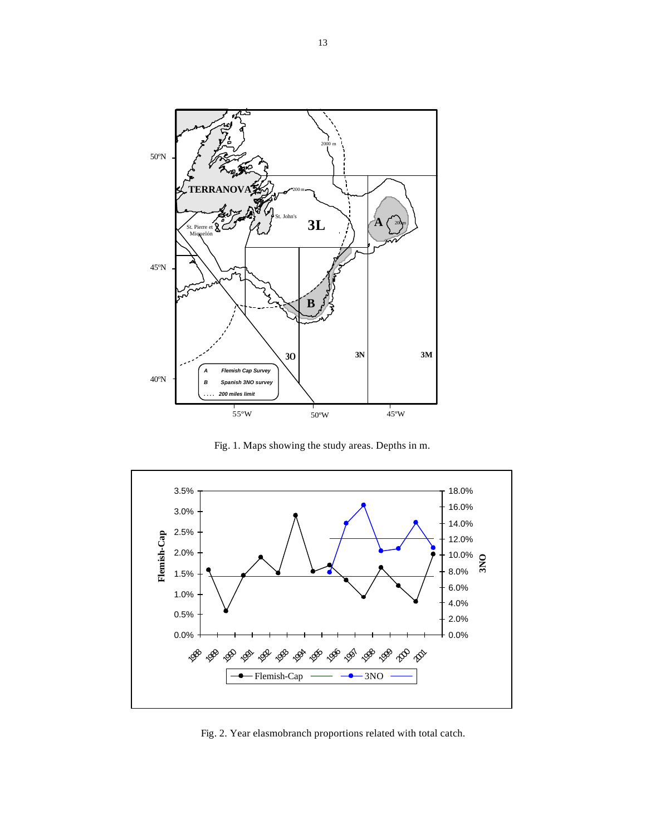

Fig. 1. Maps showing the study areas. Depths in m.



Fig. 2. Year elasmobranch proportions related with total catch.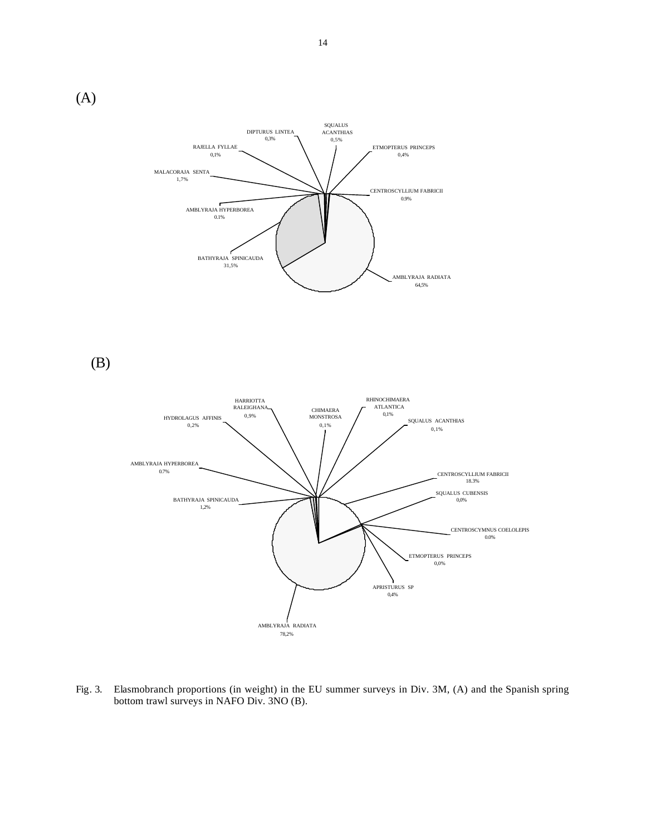BATHYRAJA SPINICAUDA 31,5% RAJELLA FYLLAE 0,1% DIPTURUS LINTEA 0,3% MALACORAJA SENTA 1,7% AMBLYRAJA HYPERBOREA 0.1% ETMOPTERUS PRINCEPS 0,4% CENTROSCYLLIUM FABRICII 0.9% SQUALUS ACANTHIAS 0,5%

(B)

(A)



AMBLYRAJA RADIATA 64,5%

Fig. 3. Elasmobranch proportions (in weight) in the EU summer surveys in Div. 3M, (A) and the Spanish spring bottom trawl surveys in NAFO Div. 3NO (B).

14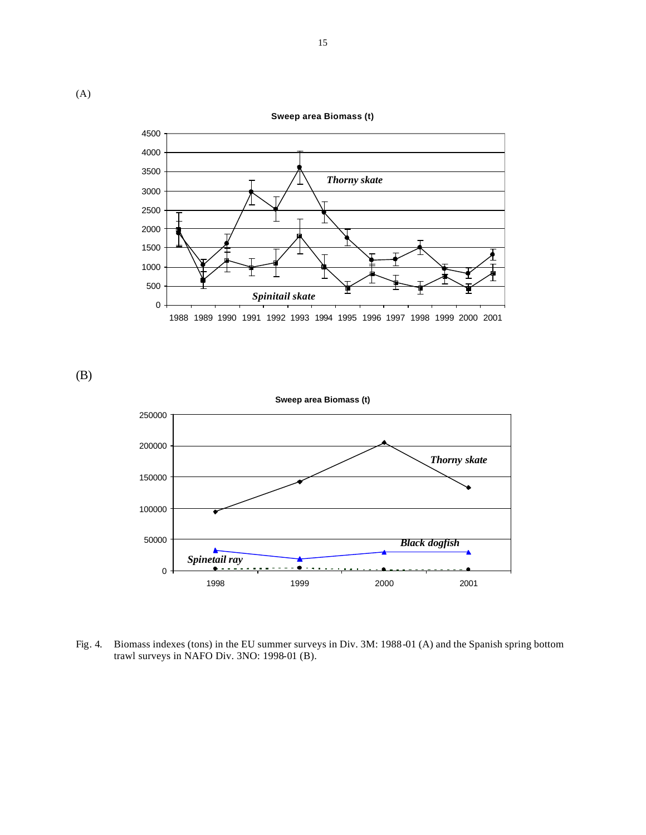**Sweep area Biomass (t)**



(B)



Fig. 4. Biomass indexes (tons) in the EU summer surveys in Div. 3M: 1988-01 (A) and the Spanish spring bottom trawl surveys in NAFO Div. 3NO: 1998-01 (B).

(A)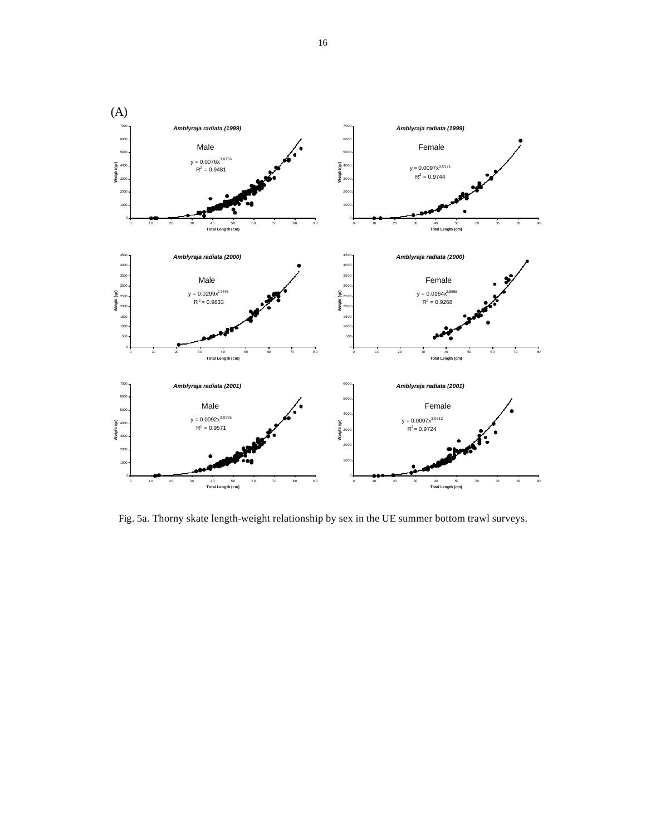

Fig. 5a. Thorny skate length-weight relationship by sex in the UE summer bottom trawl surveys.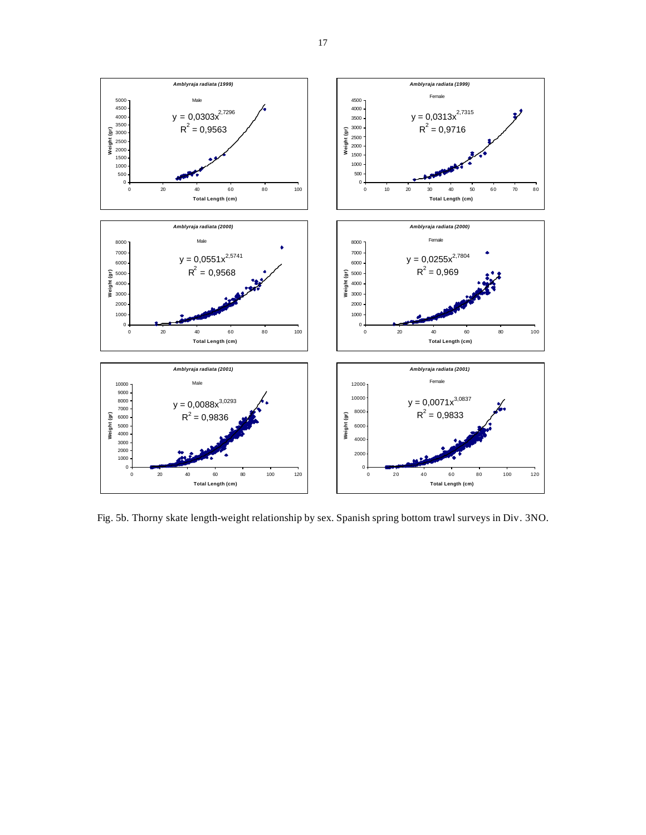

Fig. 5b. Thorny skate length-weight relationship by sex. Spanish spring bottom trawl surveys in Div. 3NO.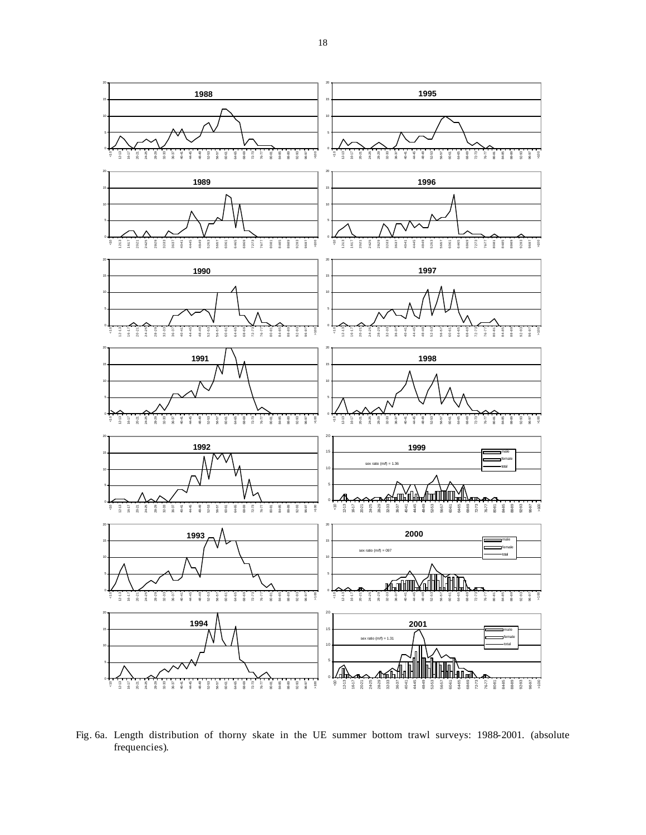

Fig. 6a. Length distribution of thorny skate in the UE summer bottom trawl surveys: 1988-2001. (absolute frequencies).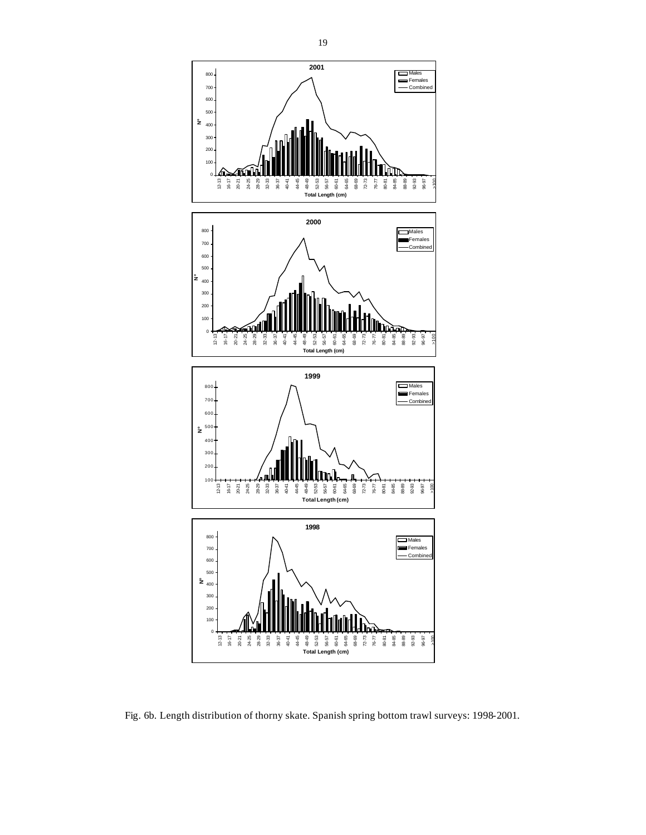

Fig. 6b. Length distribution of thorny skate. Spanish spring bottom trawl surveys: 1998-2001.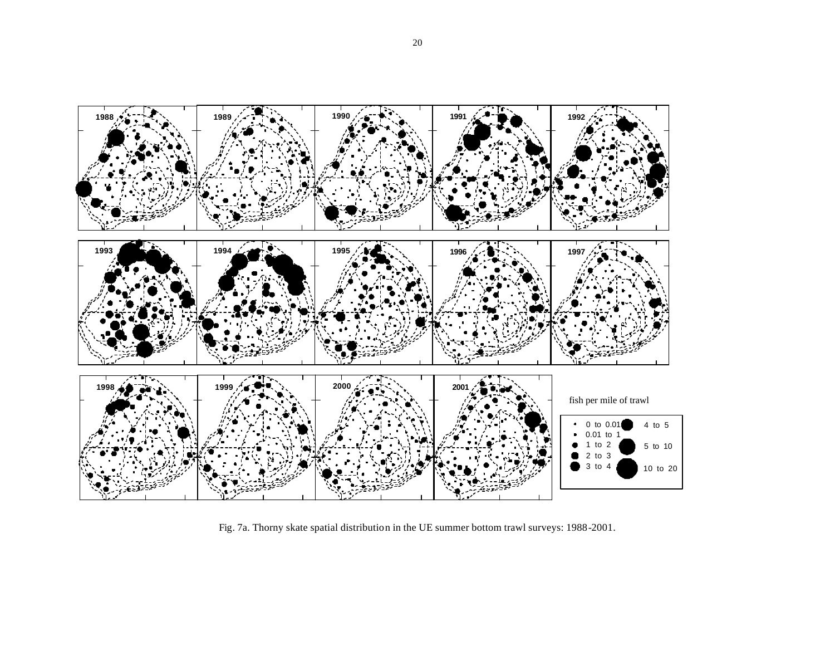

Fig. 7a. Thorny skate spatial distribution in the UE summer bottom trawl surveys: 1988-2001.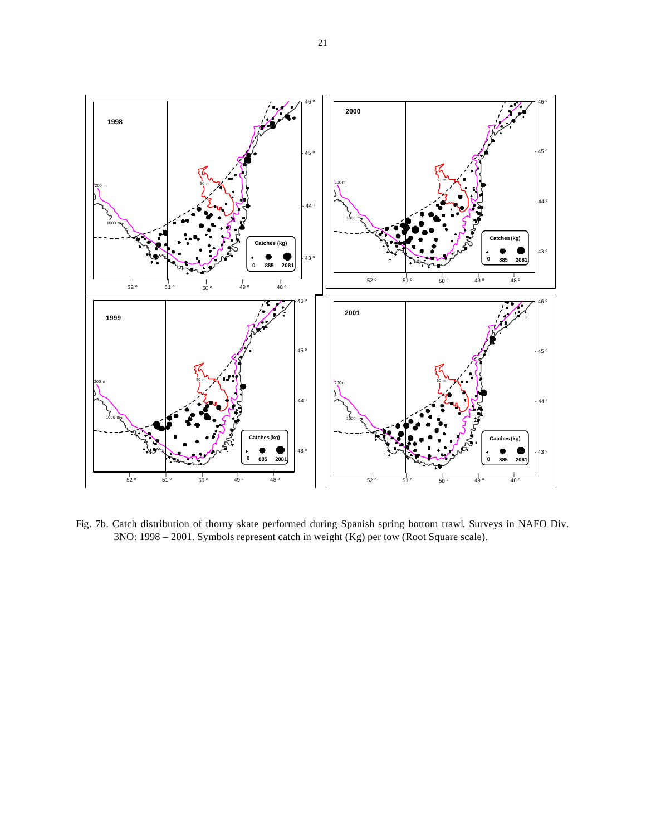

Fig. 7b. Catch distribution of thorny skate performed during Spanish spring bottom trawl. Surveys in NAFO Div. 3NO: 1998 – 2001. Symbols represent catch in weight (Kg) per tow (Root Square scale).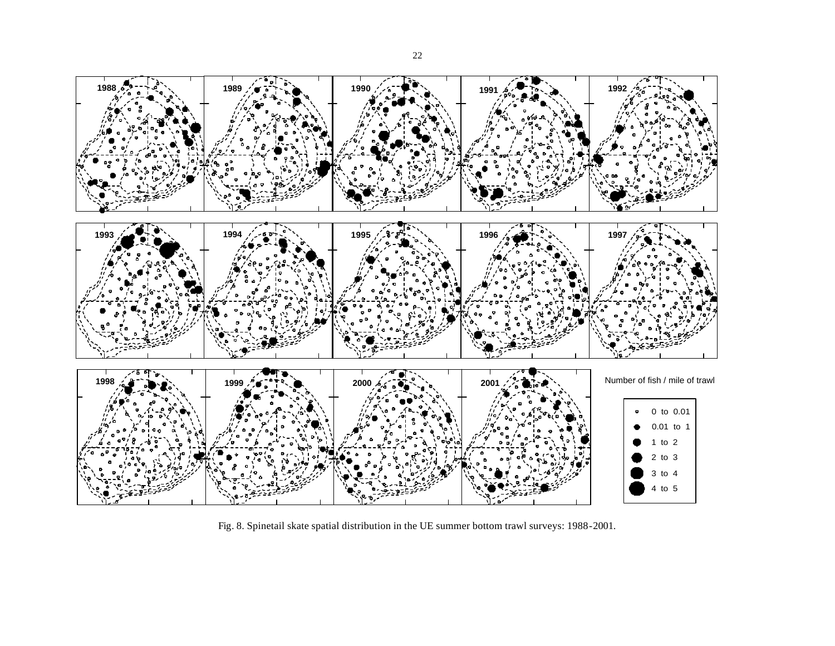

Fig. 8. Spinetail skate spatial distribution in the UE summer bottom trawl surveys: 1988-2001.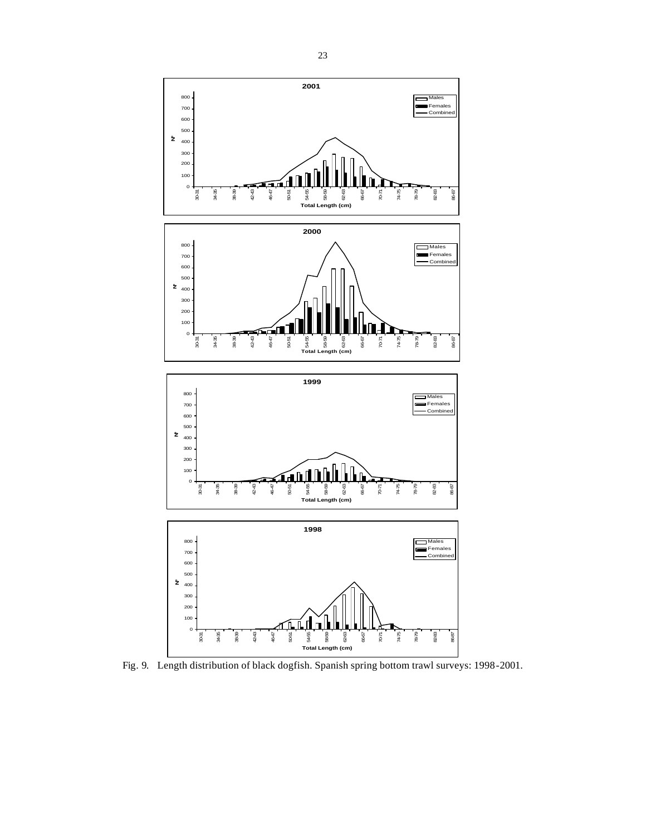

Fig. 9. Length distribution of black dogfish. Spanish spring bottom trawl surveys: 1998-2001.